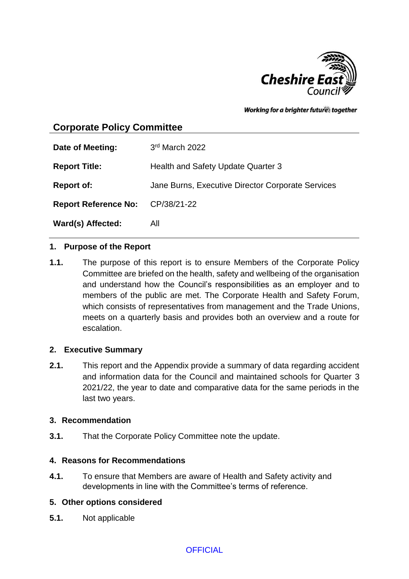

Working for a brighter future together

# **Corporate Policy Committee**

| Date of Meeting:                 | 3rd March 2022                                    |
|----------------------------------|---------------------------------------------------|
| <b>Report Title:</b>             | <b>Health and Safety Update Quarter 3</b>         |
| <b>Report of:</b>                | Jane Burns, Executive Director Corporate Services |
| Report Reference No: CP/38/21-22 |                                                   |
| Ward(s) Affected:                | All                                               |

# **1. Purpose of the Report**

**1.1.** The purpose of this report is to ensure Members of the Corporate Policy Committee are briefed on the health, safety and wellbeing of the organisation and understand how the Council's responsibilities as an employer and to members of the public are met. The Corporate Health and Safety Forum, which consists of representatives from management and the Trade Unions, meets on a quarterly basis and provides both an overview and a route for escalation.

# **2. Executive Summary**

**2.1.** This report and the Appendix provide a summary of data regarding accident and information data for the Council and maintained schools for Quarter 3 2021/22, the year to date and comparative data for the same periods in the last two years.

### **3. Recommendation**

**3.1.** That the Corporate Policy Committee note the update.

### **4. Reasons for Recommendations**

**4.1.** To ensure that Members are aware of Health and Safety activity and developments in line with the Committee's terms of reference.

### **5. Other options considered**

**5.1.** Not applicable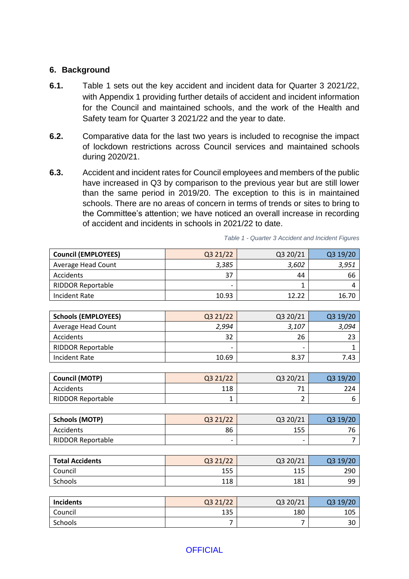## **6. Background**

- **6.1.** Table 1 sets out the key accident and incident data for Quarter 3 2021/22, with Appendix 1 providing further details of accident and incident information for the Council and maintained schools, and the work of the Health and Safety team for Quarter 3 2021/22 and the year to date.
- **6.2.** Comparative data for the last two years is included to recognise the impact of lockdown restrictions across Council services and maintained schools during 2020/21.
- **6.3.** Accident and incident rates for Council employees and members of the public have increased in Q3 by comparison to the previous year but are still lower than the same period in 2019/20. The exception to this is in maintained schools. There are no areas of concern in terms of trends or sites to bring to the Committee's attention; we have noticed an overall increase in recording of accident and incidents in schools in 2021/22 to date.

| <b>Council (EMPLOYEES)</b> | Q3 21/22     | Q3 20/21       | Q3 19/20       |
|----------------------------|--------------|----------------|----------------|
| Average Head Count         | 3,385        | 3,602          | 3,951          |
| Accidents                  | 37           | 44             | 66             |
| RIDDOR Reportable          |              | 1              | 4              |
| <b>Incident Rate</b>       | 10.93        | 12.22          | 16.70          |
|                            |              |                |                |
| <b>Schools (EMPLOYEES)</b> | Q3 21/22     | Q3 20/21       | Q3 19/20       |
| Average Head Count         | 2,994        | 3,107          | 3,094          |
| Accidents                  | 32           | 26             | 23             |
| <b>RIDDOR Reportable</b>   |              |                | 1              |
| <b>Incident Rate</b>       | 10.69        | 8.37           | 7.43           |
|                            |              |                |                |
| <b>Council (MOTP)</b>      | Q3 21/22     | Q3 20/21       | Q3 19/20       |
| Accidents                  | 118          | 71             | 224            |
| RIDDOR Reportable          | $\mathbf{1}$ | $\overline{2}$ | 6              |
|                            |              |                |                |
| <b>Schools (MOTP)</b>      | Q3 21/22     | Q3 20/21       | Q3 19/20       |
| Accidents                  | 86           | 155            | 76             |
| <b>RIDDOR Reportable</b>   |              |                | $\overline{7}$ |
|                            |              |                |                |
| <b>Total Accidents</b>     | Q3 21/22     | Q3 20/21       | Q3 19/20       |
| Council                    | 155          | 115            | 290            |
| Schools                    | 118          | 181            | 99             |
|                            |              |                |                |
| <b>Incidents</b>           | Q3 21/22     | Q3 20/21       | Q3 19/20       |
| Council                    | 135          | 180            | 105            |

*Table 1 - Quarter 3 Accident and Incident Figures*

Schools and the set of  $\begin{array}{ccc} 7 & 7 & 7 & 30 \end{array}$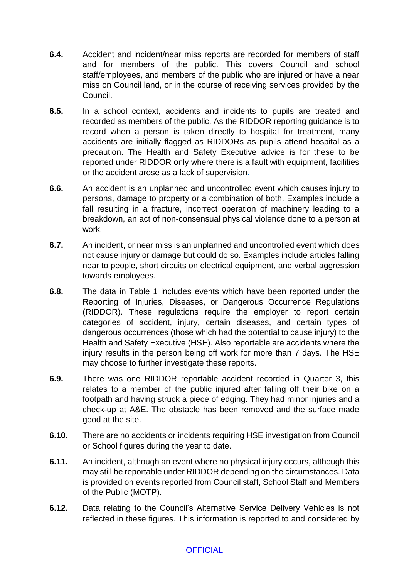- **6.4.** Accident and incident/near miss reports are recorded for members of staff and for members of the public. This covers Council and school staff/employees, and members of the public who are injured or have a near miss on Council land, or in the course of receiving services provided by the Council.
- **6.5.** In a school context, accidents and incidents to pupils are treated and recorded as members of the public. As the RIDDOR reporting guidance is to record when a person is taken directly to hospital for treatment, many accidents are initially flagged as RIDDORs as pupils attend hospital as a precaution. The Health and Safety Executive advice is for these to be reported under RIDDOR only where there is a fault with equipment, facilities or the accident arose as a lack of supervision.
- **6.6.** An accident is an unplanned and uncontrolled event which causes injury to persons, damage to property or a combination of both. Examples include a fall resulting in a fracture, incorrect operation of machinery leading to a breakdown, an act of non-consensual physical violence done to a person at work.
- **6.7.** An incident, or near miss is an unplanned and uncontrolled event which does not cause injury or damage but could do so. Examples include articles falling near to people, short circuits on electrical equipment, and verbal aggression towards employees.
- **6.8.** The data in Table 1 includes events which have been reported under the Reporting of Injuries, Diseases, or Dangerous Occurrence Regulations (RIDDOR). These regulations require the employer to report certain categories of accident, injury, certain diseases, and certain types of dangerous occurrences (those which had the potential to cause injury) to the Health and Safety Executive (HSE). Also reportable are accidents where the injury results in the person being off work for more than 7 days. The HSE may choose to further investigate these reports.
- **6.9.** There was one RIDDOR reportable accident recorded in Quarter 3, this relates to a member of the public injured after falling off their bike on a footpath and having struck a piece of edging. They had minor injuries and a check-up at A&E. The obstacle has been removed and the surface made good at the site.
- **6.10.** There are no accidents or incidents requiring HSE investigation from Council or School figures during the year to date.
- **6.11.** An incident, although an event where no physical injury occurs, although this may still be reportable under RIDDOR depending on the circumstances. Data is provided on events reported from Council staff, School Staff and Members of the Public (MOTP).
- **6.12.** Data relating to the Council's Alternative Service Delivery Vehicles is not reflected in these figures. This information is reported to and considered by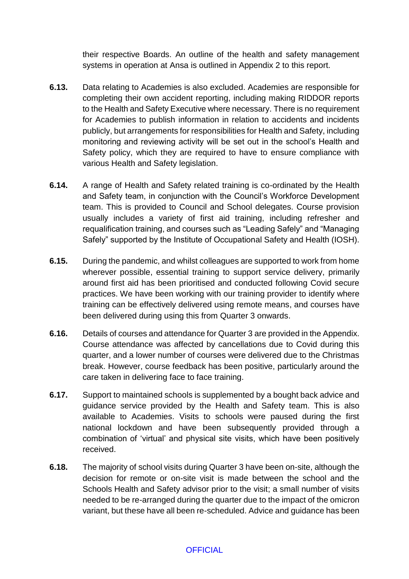their respective Boards. An outline of the health and safety management systems in operation at Ansa is outlined in Appendix 2 to this report.

- **6.13.** Data relating to Academies is also excluded. Academies are responsible for completing their own accident reporting, including making RIDDOR reports to the Health and Safety Executive where necessary. There is no requirement for Academies to publish information in relation to accidents and incidents publicly, but arrangements for responsibilities for Health and Safety, including monitoring and reviewing activity will be set out in the school's Health and Safety policy, which they are required to have to ensure compliance with various Health and Safety legislation.
- **6.14.** A range of Health and Safety related training is co-ordinated by the Health and Safety team, in conjunction with the Council's Workforce Development team. This is provided to Council and School delegates. Course provision usually includes a variety of first aid training, including refresher and requalification training, and courses such as "Leading Safely" and "Managing Safely" supported by the Institute of Occupational Safety and Health (IOSH).
- **6.15.** During the pandemic, and whilst colleagues are supported to work from home wherever possible, essential training to support service delivery, primarily around first aid has been prioritised and conducted following Covid secure practices. We have been working with our training provider to identify where training can be effectively delivered using remote means, and courses have been delivered during using this from Quarter 3 onwards.
- **6.16.** Details of courses and attendance for Quarter 3 are provided in the Appendix. Course attendance was affected by cancellations due to Covid during this quarter, and a lower number of courses were delivered due to the Christmas break. However, course feedback has been positive, particularly around the care taken in delivering face to face training.
- **6.17.** Support to maintained schools is supplemented by a bought back advice and guidance service provided by the Health and Safety team. This is also available to Academies. Visits to schools were paused during the first national lockdown and have been subsequently provided through a combination of 'virtual' and physical site visits, which have been positively received.
- **6.18.** The majority of school visits during Quarter 3 have been on-site, although the decision for remote or on-site visit is made between the school and the Schools Health and Safety advisor prior to the visit; a small number of visits needed to be re-arranged during the quarter due to the impact of the omicron variant, but these have all been re-scheduled. Advice and guidance has been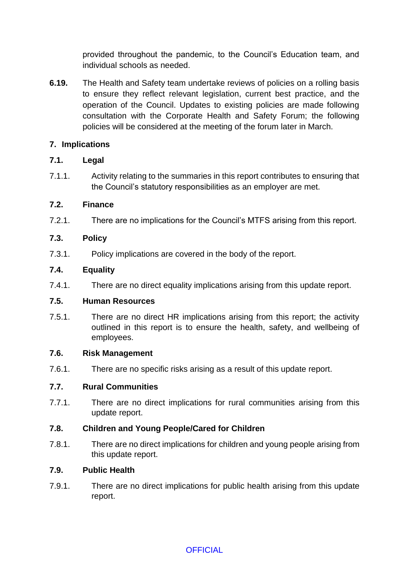provided throughout the pandemic, to the Council's Education team, and individual schools as needed.

**6.19.** The Health and Safety team undertake reviews of policies on a rolling basis to ensure they reflect relevant legislation, current best practice, and the operation of the Council. Updates to existing policies are made following consultation with the Corporate Health and Safety Forum; the following policies will be considered at the meeting of the forum later in March.

# **7. Implications**

## **7.1. Legal**

7.1.1. Activity relating to the summaries in this report contributes to ensuring that the Council's statutory responsibilities as an employer are met.

## **7.2. Finance**

7.2.1. There are no implications for the Council's MTFS arising from this report.

## **7.3. Policy**

7.3.1. Policy implications are covered in the body of the report.

## **7.4. Equality**

7.4.1. There are no direct equality implications arising from this update report.

## **7.5. Human Resources**

7.5.1. There are no direct HR implications arising from this report; the activity outlined in this report is to ensure the health, safety, and wellbeing of employees.

### **7.6. Risk Management**

7.6.1. There are no specific risks arising as a result of this update report.

### **7.7. Rural Communities**

7.7.1. There are no direct implications for rural communities arising from this update report.

# **7.8. Children and Young People/Cared for Children**

7.8.1. There are no direct implications for children and young people arising from this update report.

### **7.9. Public Health**

7.9.1. There are no direct implications for public health arising from this update report.